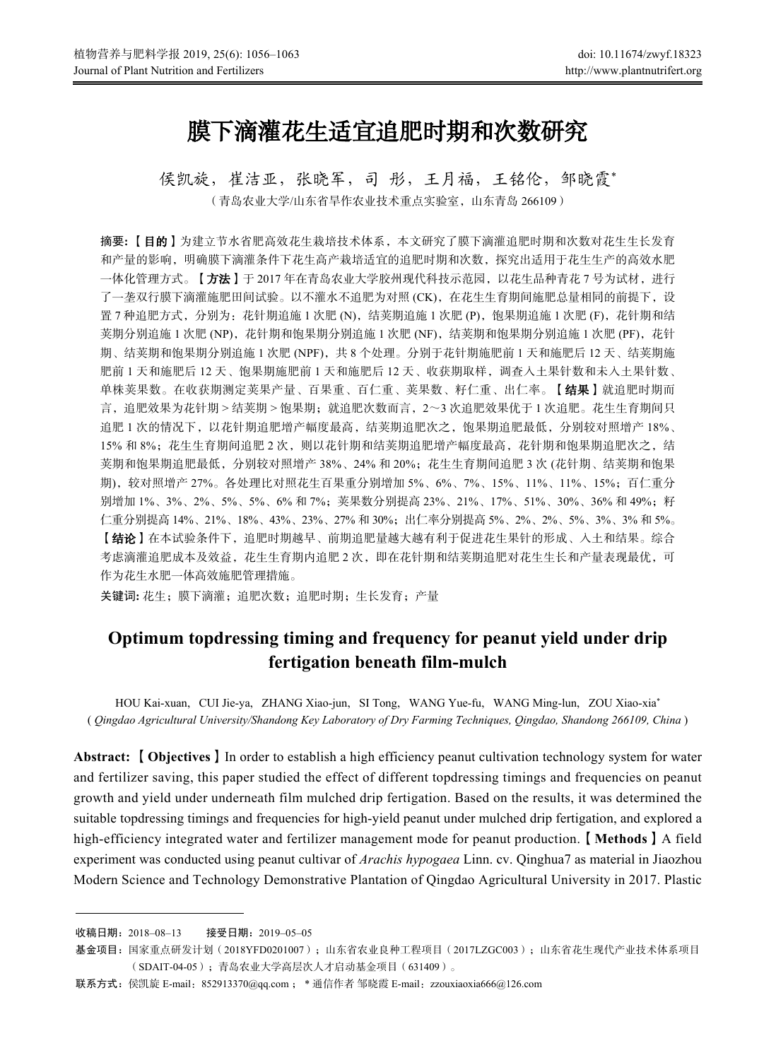# 膜下滴灌花生适宜追肥时期和次数研究

侯凯旋,崔洁亚,张晓军,司 彤,王月福,王铭伦,邹晓霞\* (青岛农业大学/山东省旱作农业技术重点实验室,山东青岛 266109)

摘要**:** 【目的】为建立节水省肥高效花生栽培技术体系,本文研究了膜下滴灌追肥时期和次数对花生生长发育 和产量的影响,明确膜下滴灌条件下花生高产栽培适宜的追肥时期和次数,探究出适用于花生生产的高效水肥 一体化管理方式。【方法】于 2017 年在青岛农业大学胶州现代科技示范园, 以花生品种青花 7 号为试材, 进行 了一垄双行膜下滴灌施肥田间试验。以不灌水不追肥为对照 (CK), 在花生生育期间施肥总量相同的前提下, 设 置 7 种追肥方式, 分别为: 花针期追施 1 次肥 (N), 结荚期追施 1 次肥 (P), 饱果期追施 1 次肥 (F), 花针期和结 荚期分别追施 1 次肥 (NP), 花针期和饱果期分别追施 1 次肥 (NF), 结荚期和饱果期分别追施 1 次肥 (PF), 花针 期、结荚期和饱果期分别追施 1 次肥 (NPF), 共 8 个处理。分别于花针期施肥前 1 天和施肥后 12 天、结荚期施 肥前 1 天和施肥后 12 天、饱果期施肥前 1 天和施肥后 12 天、收获期取样, 调查入土果针数和未入土果针数、 单株荚果数。在收获期测定荚果产量、百果重、百仁重、荚果数、籽仁重、出仁率。【结果】就追肥时期而 言,追肥效果为花针期 > 结荚期 > 饱果期;就追肥次数而言,2~3 次追肥效果优于 1 次追肥。花生生育期间只 追肥 1 次的情况下, 以花针期追肥增产幅度最高, 结荚期追肥次之, 饱果期追肥最低, 分别较对照增产 18%、 15% 和 8%;花生生育期间追肥 2 次,则以花针期和结荚期追肥增产幅度最高,花针期和饱果期追肥次之,结 荚期和饱果期追肥最低,分别较对照增产38%、24% 和 20%;花生生育期间追肥 3 次 (花针期、结荚期和饱果 期),较对照增产 27%。各处理比对照花生百果重分别增加 5%、6%、7%、15%、11%、11%、15%;百仁重分 别增加 1%、3%、2%、5%、5%、6% 和 7%; 荚果数分别提高 23%、21%、17%、51%、30%、36% 和 49%; 籽 仁重分别提高 14%、21%、18%、43%、23%、27% 和 30%;出仁率分别提高 5%、2%、2%、5%、3%、3% 和 5%。 【结论】在本试验条件下,追肥时期越早、前期追肥量越大越有利于促进花生果针的形成、入土和结果。综合 考虑滴灌追肥成本及效益,花生生育期内追肥 2 次,即在花针期和结荚期追肥对花生生长和产量表现最优,可 作为花生水肥一体高效施肥管理措施。

关键词**:** 花生;膜下滴灌;追肥次数;追肥时期;生长发育;产量

## **Optimum topdressing timing and frequency for peanut yield under drip fertigation beneath film-mulch**

HOU Kai-xuan, CUI Jie-ya, ZHANG Xiao-jun, SI Tong, WANG Yue-fu, WANG Ming-lun, ZOU Xiao-xia\* ( *Qingdao Agricultural University/Shandong Key Laboratory of Dry Farming Techniques, Qingdao, Shandong 266109, China* )

**Abstract:** 【**Objectives**】In order to establish a high efficiency peanut cultivation technology system for water and fertilizer saving, this paper studied the effect of different topdressing timings and frequencies on peanut growth and yield under underneath film mulched drip fertigation. Based on the results, it was determined the suitable topdressing timings and frequencies for high-yield peanut under mulched drip fertigation, and explored a high-efficiency integrated water and fertilizer management mode for peanut production.【**Methods**】A field experiment was conducted using peanut cultivar of *Arachis hypogaea* Linn. cv. Qinghua7 as material in Jiaozhou Modern Science and Technology Demonstrative Plantation of Qingdao Agricultural University in 2017. Plastic

收稿日期:2018–08–13 接受日期:2019–05–05

基金项目: 国家重点研发计划(2018YFD0201007); 山东省农业良种工程项目(2017LZGC003); 山东省花生现代产业技术体系项目 (SDAIT-04-05);青岛农业大学高层次人才启动基金项目(631409)。

联系方式: 侯凯旋 E-mail: 852913370@qq.com ; \* 通信作者 邹晓霞 E-mail: zzouxiaoxia666@126.com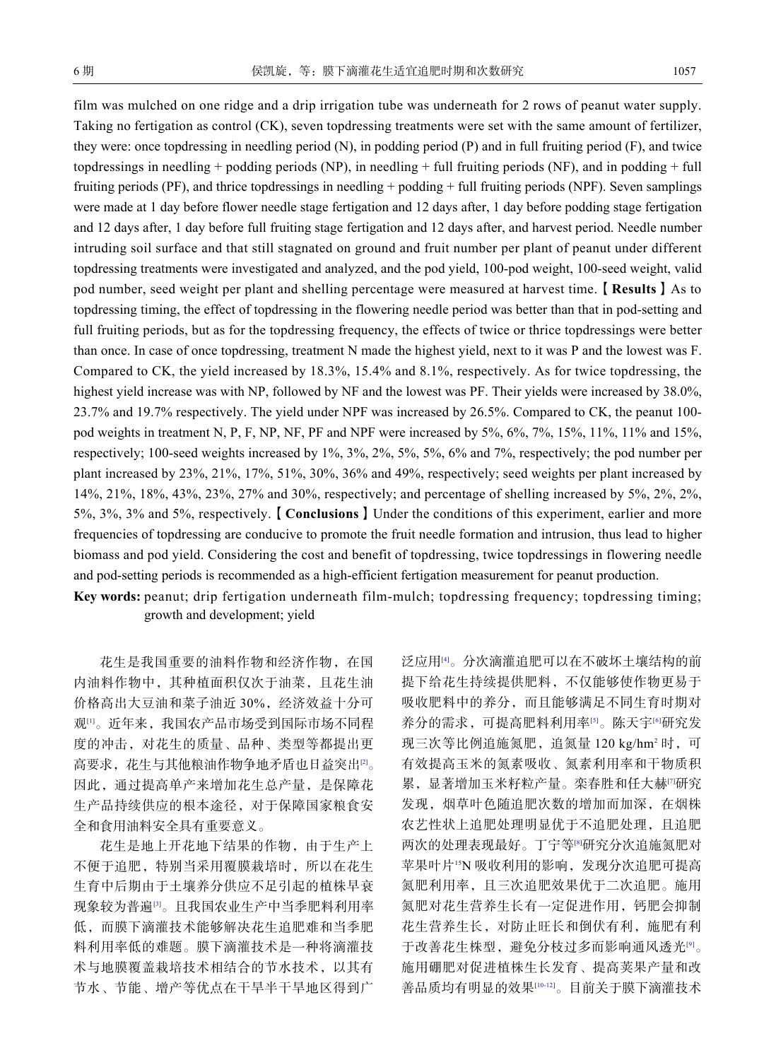film was mulched on one ridge and a drip irrigation tube was underneath for 2 rows of peanut water supply. Taking no fertigation as control (CK), seven topdressing treatments were set with the same amount of fertilizer, they were: once topdressing in needling period (N), in podding period (P) and in full fruiting period (F), and twice topdressings in needling + podding periods (NP), in needling + full fruiting periods (NF), and in podding + full fruiting periods (PF), and thrice topdressings in needling + podding + full fruiting periods (NPF). Seven samplings were made at 1 day before flower needle stage fertigation and 12 days after, 1 day before podding stage fertigation and 12 days after, 1 day before full fruiting stage fertigation and 12 days after, and harvest period. Needle number intruding soil surface and that still stagnated on ground and fruit number per plant of peanut under different topdressing treatments were investigated and analyzed, and the pod yield, 100-pod weight, 100-seed weight, valid pod number, seed weight per plant and shelling percentage were measured at harvest time.【**Results**】As to topdressing timing, the effect of topdressing in the flowering needle period was better than that in pod-setting and full fruiting periods, but as for the topdressing frequency, the effects of twice or thrice topdressings were better than once. In case of once topdressing, treatment N made the highest yield, next to it was P and the lowest was F. Compared to CK, the yield increased by 18.3%, 15.4% and 8.1%, respectively. As for twice topdressing, the highest yield increase was with NP, followed by NF and the lowest was PF. Their yields were increased by 38.0%, 23.7% and 19.7% respectively. The yield under NPF was increased by 26.5%. Compared to CK, the peanut 100 pod weights in treatment N, P, F, NP, NF, PF and NPF were increased by 5%, 6%, 7%, 15%, 11%, 11% and 15%, respectively; 100-seed weights increased by 1%, 3%, 2%, 5%, 5%, 6% and 7%, respectively; the pod number per plant increased by 23%, 21%, 17%, 51%, 30%, 36% and 49%, respectively; seed weights per plant increased by 14%, 21%, 18%, 43%, 23%, 27% and 30%, respectively; and percentage of shelling increased by 5%, 2%, 2%, 5%, 3%, 3% and 5%, respectively.【**Conclusions**】Under the conditions of this experiment, earlier and more frequencies of topdressing are conducive to promote the fruit needle formation and intrusion, thus lead to higher biomass and pod yield. Considering the cost and benefit of topdressing, twice topdressings in flowering needle and pod-setting periods is recommended as a high-efficient fertigation measurement for peanut production.

**Key words:** peanut; drip fertigation underneath film-mulch; topdressing frequency; topdressing timing; growth and development; yield

花生是我国重要的油料作物和经济作物,在国 内油料作物中,其种植面积仅次于油菜,且花生油 价格高出大豆油和菜子油近 30%,经济效益十分可 观[\[1](#page-6-0)]。近年来,我国农产品市场受到国际市场不同程 度的冲击,对花生的质量、品种、类型等都提出更 高要求,花生与其他粮油作物争地矛盾也日益突出<sup>[\[2\]](#page-6-1)</sup>。 因此,通过提高单产来增加花生总产量,是保障花 生产品持续供应的根本途径,对于保障国家粮食安 全和食用油料安全具有重要意义。

花生是地上开花地下结果的作物,由于生产上 不便于追肥,特别当采用覆膜栽培时,所以在花生 生育中后期由于土壤养分供应不足引起的植株早衰 现象较为普遍[[3](#page-6-2)]。且我国农业生产中当季肥料利用率 低,而膜下滴灌技术能够解决花生追肥难和当季肥 料利用率低的难题。膜下滴灌技术是一种将滴灌技 术与地膜覆盖栽培技术相结合的节水技术,以其有 节水、节能、增产等优点在干旱半干旱地区得到广

泛应用[[4](#page-6-3)]。分次滴灌追肥可以在不破坏土壤结构的前 提下给花生持续提供肥料,不仅能够使作物更易于 吸收肥料中的养分,而且能够满足不同生育时期对 养分的需求,可提高肥料利用率[[5\]](#page-6-4)。陈天宇[[6\]](#page-6-5)研究发 现三次等比例追施氮肥, 追氮量 120 kg/hm<sup>2</sup> 时, 可 有效提高玉米的氮素吸收、氮素利用率和干物质积 累,显著增加玉米籽粒产量。栾春胜和任大赫[\[7\]](#page-6-6)研究 发现,烟草叶色随追肥次数的增加而加深,在烟株 农艺性状上追肥处理明显优于不追肥处理,且追肥 两次的处理表现最好。丁宁等[[8](#page-6-7)]研究分次追施氮肥对 苹果叶片15N 吸收利用的影响,发现分次追肥可提高 氮肥利用率,且三次追肥效果优于二次追肥。施用 氮肥对花生营养生长有一定促进作用,钙肥会抑制 花生营养生长,对防止旺长和倒伏有利,施肥有利 于改善花生株型,避免分枝过多而影响通风透光[[9](#page-6-8)]。 施用硼肥对促进植株生长发育、提高荚果产量和改 善品质均有明显的效果[\[10](#page-6-9)[-12](#page-7-0)]。目前关于膜下滴灌技术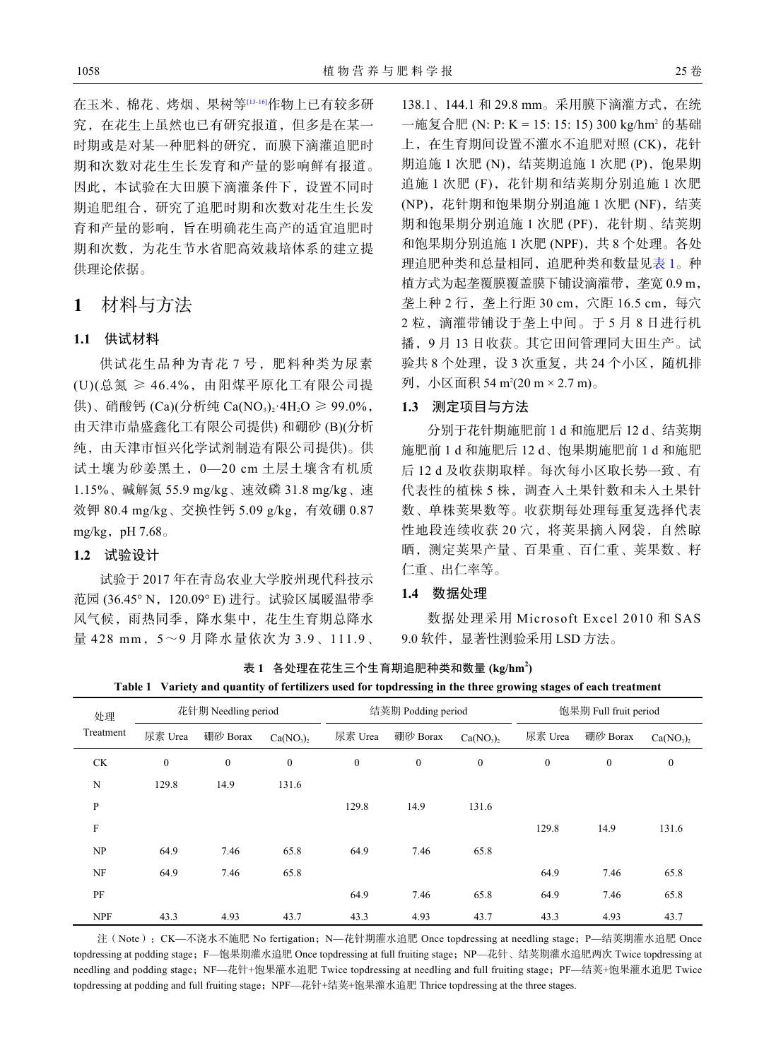在玉米、棉花、烤烟、果树等[\[13](#page-7-1)[-16](#page-7-2)]作物上已有较多研 究,在花生上虽然也已有研究报道,但多是在某一 时期或是对某一种肥料的研究,而膜下滴灌追肥时 期和次数对花生生长发育和产量的影响鲜有报道。 因此,本试验在大田膜下滴灌条件下,设置不同时 期追肥组合,研究了追肥时期和次数对花生生长发 育和产量的影响,旨在明确花生高产的适宜追肥时 期和次数,为花生节水省肥高效栽培体系的建立提

## **1** 材料与方法

#### **1.1** 供试材料

供理论依据。

供试花生品种为青花 7 号,肥料种类为尿素 (U)(总氮 ≥ 46.4%,由阳煤平原化工有限公司提 供)、硝酸钙 (Ca)(分析纯 Ca(NO3), 4H<sub>2</sub>O ≥ 99.0%, 由天津市鼎盛鑫化工有限公司提供) 和硼砂 (B)(分析 纯,由天津市恒兴化学试剂制造有限公司提供)。供 试土壤为砂姜黑土,0—20 cm 土层土壤含有机质 1.15%、碱解氮 55.9 mg/kg、速效磷 31.8 mg/kg、速 效钾 80.4 mg/kg、交换性钙 5.09 g/kg, 有效硼 0.87 mg/kg, pH  $7.68\degree$ 

### **1.2** 试验设计

试验于 2017 年在青岛农业大学胶州现代科技示 范园 (36.45° N,120.09° E) 进行。试验区属暖温带季 风气候,雨热同季,降水集中,花生生育期总降水 量 428 mm, 5~9月降水量依次为 3.9、111.9、

138.1、144.1 和 29.8 mm。采用膜下滴灌方式, 在统 一施复合肥 (N: P: K = 15: 15: 15) 300 kg/hm<sup>2</sup> 的基础 上, 在生育期间设置不灌水不追肥对照 (CK), 花针 期追施 1 次肥 (N), 结荚期追施 1 次肥 (P), 饱果期 追施 1 次肥 (F), 花针期和结荚期分别追施 1 次肥 (NP),花针期和饱果期分别追施 1 次肥 (NF),结荚 期和饱果期分别追施 1 次肥 (PF), 花针期、结荚期 和饱果期分别追施 1 次肥 (NPF), 共 8 个处理。各处 理追肥种类和总量相同,追肥种类和数量见[表](#page-2-0) [1](#page-2-0)。种 植方式为起垄覆膜覆盖膜下铺设滴灌带,垄宽 0.9 m, 垄上种 2 行,垄上行距 30 cm,穴距 16.5 cm,每穴 2 粒,滴灌带铺设于垄上中间。于 5 月 8 日进行机 播,9 月 13 日收获。其它田间管理同大田生产。试 验共 8 个处理, 设 3 次重复, 共 24 个小区, 随机排 列,小区面积 54 m²(20 m × 2.7 m)。

## **1.3** 测定项目与方法

分别于花针期施肥前 1 d 和施肥后 12 d、结荚期 施肥前 1 d 和施肥后 12 d、饱果期施肥前 1 d 和施肥 后 12 d 及收获期取样。每次每小区取长势一致、有 代表性的植株 5 株, 调查入土果针数和未入土果针 数、单株荚果数等。收获期每处理每重复选择代表 性地段连续收获 20 穴,将荚果摘入网袋,自然晾 晒,测定荚果产量、百果重、百仁重、荚果数、籽 仁重、出仁率等。

#### **1.4** 数据处理

数据处理采用 Microsoft Excel 2010 和 SAS 9.0 软件,显著性测验采用 LSD 方法。

<span id="page-2-0"></span>表 **1** 各处理在花生三个生育期追肥种类和数量 **(kg/hm<sup>2</sup> ) Table 1 Variety and quantity of fertilizers used for topdressing in the three growing stages of each treatment**

| 处理<br>Treatment           | 花针期 Needling period |                  |              | 结荚期 Podding period |              |                                   | 饱果期 Full fruit period |                  |                                   |
|---------------------------|---------------------|------------------|--------------|--------------------|--------------|-----------------------------------|-----------------------|------------------|-----------------------------------|
|                           | 尿素 Urea             | 硼砂 Borax         | $Ca(NO_3)$   | 尿素 Urea            | 硼砂 Borax     | Ca(NO <sub>3</sub> ) <sub>2</sub> | 尿素 Urea               | 硼砂 Borax         | Ca(NO <sub>3</sub> ) <sub>2</sub> |
| <b>CK</b>                 | $\mathbf{0}$        | $\boldsymbol{0}$ | $\mathbf{0}$ | $\boldsymbol{0}$   | $\mathbf{0}$ | $\boldsymbol{0}$                  | $\boldsymbol{0}$      | $\boldsymbol{0}$ | $\boldsymbol{0}$                  |
| N                         | 129.8               | 14.9             | 131.6        |                    |              |                                   |                       |                  |                                   |
| ${\bf P}$                 |                     |                  |              | 129.8              | 14.9         | 131.6                             |                       |                  |                                   |
| $\boldsymbol{\mathrm{F}}$ |                     |                  |              |                    |              |                                   | 129.8                 | 14.9             | 131.6                             |
| NP                        | 64.9                | 7.46             | 65.8         | 64.9               | 7.46         | 65.8                              |                       |                  |                                   |
| NF                        | 64.9                | 7.46             | 65.8         |                    |              |                                   | 64.9                  | 7.46             | 65.8                              |
| PF                        |                     |                  |              | 64.9               | 7.46         | 65.8                              | 64.9                  | 7.46             | 65.8                              |
| <b>NPF</b>                | 43.3                | 4.93             | 43.7         | 43.3               | 4.93         | 43.7                              | 43.3                  | 4.93             | 43.7                              |

注 (Note): CK—不浇水不施肥 No fertigation; N—花针期灌水追肥 Once topdressing at needling stage; P—结荚期灌水追肥 Once topdressing at podding stage; F—饱果期灌水追肥 Once topdressing at full fruiting stage; NP—花针、结荚期灌水追肥两次 Twice topdressing at needling and podding stage; NF—花针+饱果灌水追肥 Twice topdressing at needling and full fruiting stage; PF—结荚+饱果灌水追肥 Twice topdressing at podding and full fruiting stage; NPF—花针+结荚+饱果灌水追肥 Thrice topdressing at the three stages.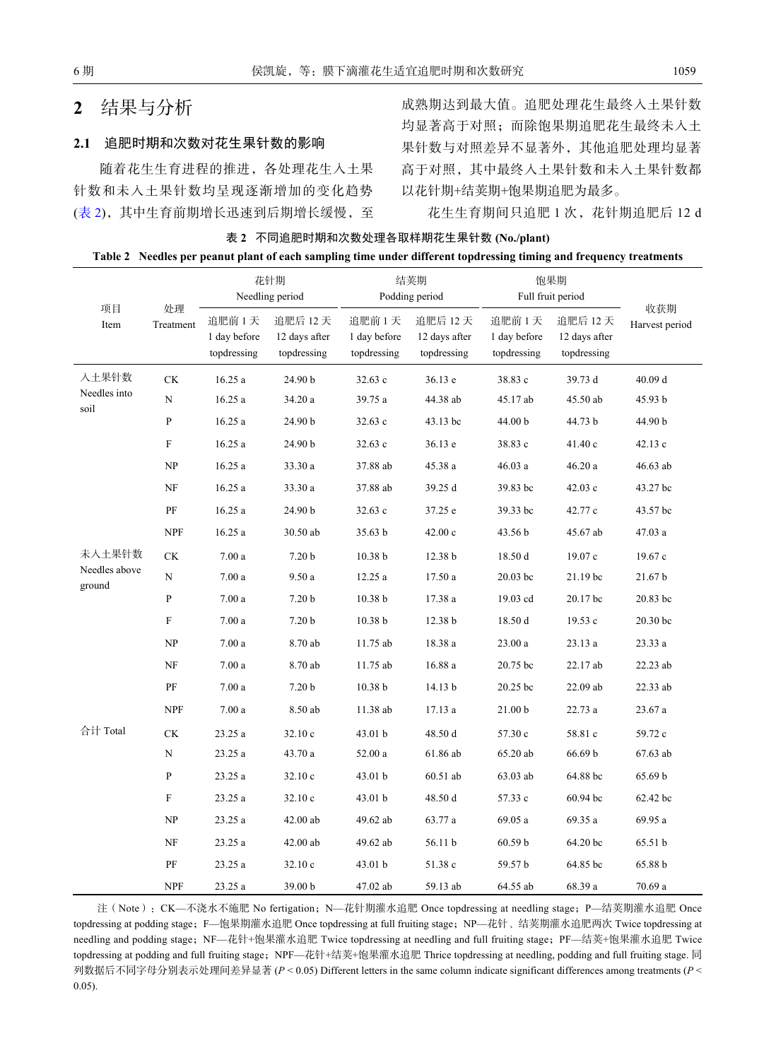## **2** 结果与分析

#### **2.1** 追肥时期和次数对花生果针数的影响

随着花生生育进程的推进,各处理花生入土果 针数和未入土果针数均呈现逐渐增加的变化趋势 ([表](#page-3-0) [2\)](#page-3-0), 其中生育前期增长迅速到后期增长缓慢, 至 成熟期达到最大值。追肥处理花生最终入土果针数 均显著高于对照;而除饱果期追肥花生最终未入土 果针数与对照差异不显著外,其他追肥处理均显著 高于对照,其中最终入土果针数和未入土果针数都 以花针期+结荚期+饱果期追肥为最多。

花生生育期间只追肥 1 次,花针期追肥后 12 d

<span id="page-3-0"></span>表 **2** 不同追肥时期和次数处理各取样期花生果针数 **(No./plant) Table 2 Needles per peanut plant of each sampling time under different topdressing timing and frequency treatments**

|                         | 处理<br>Treatment           | 花针期<br>Needling period               |                                         | 结荚期<br>Podding period                |                                         | 饱果期<br>Full fruit period             |                                         |                       |
|-------------------------|---------------------------|--------------------------------------|-----------------------------------------|--------------------------------------|-----------------------------------------|--------------------------------------|-----------------------------------------|-----------------------|
| 项目<br>Item              |                           | 追肥前1天<br>1 day before<br>topdressing | 追肥后 12天<br>12 days after<br>topdressing | 追肥前1天<br>1 day before<br>topdressing | 追肥后 12天<br>12 days after<br>topdressing | 追肥前1天<br>1 day before<br>topdressing | 追肥后 12天<br>12 days after<br>topdressing | 收获期<br>Harvest period |
| 入土果针数                   | CK                        | 16.25a                               | 24.90 b                                 | 32.63 c                              | 36.13 e                                 | 38.83 c                              | 39.73 d                                 | 40.09 d               |
| Needles into<br>soil    | N                         | 16.25a                               | 34.20 a                                 | 39.75 a                              | 44.38 ab                                | 45.17 ab                             | 45.50 ab                                | 45.93 b               |
|                         | $\overline{P}$            | 16.25a                               | 24.90 b                                 | 32.63 c                              | 43.13 bc                                | 44.00 b                              | 44.73 b                                 | 44.90 b               |
|                         | $\boldsymbol{\mathrm{F}}$ | 16.25a                               | 24.90 b                                 | 32.63 c                              | 36.13 e                                 | 38.83 c                              | 41.40 c                                 | 42.13 c               |
|                         | NP                        | 16.25a                               | 33.30 a                                 | 37.88 ab                             | 45.38 a                                 | 46.03 a                              | 46.20a                                  | 46.63 ab              |
|                         | NF                        | 16.25a                               | 33.30 a                                 | 37.88 ab                             | 39.25 d                                 | 39.83 bc                             | 42.03c                                  | 43.27 bc              |
|                         | PF                        | 16.25a                               | 24.90 b                                 | 32.63c                               | 37.25 e                                 | 39.33 bc                             | 42.77 c                                 | 43.57 bc              |
|                         | <b>NPF</b>                | 16.25 a                              | 30.50 ab                                | 35.63 b                              | 42.00c                                  | 43.56 b                              | 45.67 ab                                | 47.03 a               |
| 未入土果针数                  | $\mathrm{C}\mathrm{K}$    | 7.00a                                | 7.20 <sub>b</sub>                       | 10.38 <sub>b</sub>                   | 12.38 b                                 | 18.50 d                              | 19.07 c                                 | 19.67 c               |
| Needles above<br>ground | N                         | 7.00a                                | 9.50 a                                  | 12.25 a                              | 17.50 a                                 | 20.03 bc                             | 21.19 bc                                | $21.67\,\mathrm{b}$   |
|                         | $\mathbf{P}$              | 7.00a                                | 7.20 <sub>b</sub>                       | 10.38 <sub>b</sub>                   | 17.38 a                                 | 19.03 cd                             | 20.17 bc                                | 20.83 bc              |
|                         | ${\rm F}$                 | 7.00a                                | 7.20 <sub>b</sub>                       | 10.38 <sub>b</sub>                   | 12.38 b                                 | 18.50 d                              | 19.53 c                                 | 20.30 bc              |
|                         | NP                        | 7.00a                                | 8.70 ab                                 | 11.75 ab                             | 18.38 a                                 | 23.00a                               | 23.13 a                                 | 23.33 a               |
|                         | NF                        | 7.00a                                | 8.70 ab                                 | 11.75 ab                             | 16.88 a                                 | 20.75 bc                             | 22.17 ab                                | 22.23 ab              |
|                         | PF                        | 7.00a                                | 7.20 <sub>b</sub>                       | 10.38 b                              | 14.13 b                                 | 20.25 bc                             | 22.09 ab                                | 22.33 ab              |
|                         | <b>NPF</b>                | 7.00a                                | 8.50 ab                                 | 11.38 ab                             | 17.13 a                                 | 21.00 <sub>b</sub>                   | 22.73 a                                 | 23.67 a               |
| 合计 Total                | CK                        | 23.25 a                              | 32.10 c                                 | 43.01 b                              | 48.50 d                                 | 57.30 c                              | 58.81 c                                 | 59.72 c               |
|                         | $\mathbf N$               | 23.25 a                              | 43.70 a                                 | 52.00 a                              | 61.86 ab                                | 65.20 ab                             | 66.69 b                                 | 67.63 ab              |
|                         | $\overline{P}$            | 23.25 a                              | 32.10 c                                 | 43.01 b                              | 60.51 ab                                | 63.03 ab                             | 64.88 bc                                | 65.69 b               |
|                         | ${\rm F}$                 | 23.25 a                              | 32.10 c                                 | 43.01 b                              | 48.50 d                                 | 57.33 c                              | 60.94 bc                                | 62.42 bc              |
|                         | NP                        | 23.25 a                              | 42.00 ab                                | 49.62 ab                             | 63.77 a                                 | $69.05\ a$                           | 69.35 a                                 | 69.95 a               |
|                         | NF                        | 23.25 a                              | 42.00 ab                                | 49.62 ab                             | 56.11 b                                 | 60.59 b                              | 64.20 bc                                | 65.51 b               |
|                         | PF                        | 23.25 a                              | 32.10c                                  | 43.01 b                              | 51.38 c                                 | 59.57 b                              | 64.85 bc                                | 65.88 b               |
|                         | <b>NPF</b>                | 23.25 a                              | 39.00 b                                 | 47.02 ab                             | 59.13 ab                                | 64.55 ab                             | 68.39 a                                 | 70.69 a               |

注(Note): CK—不浇水不施肥 No fertigation; N—花针期灌水追肥 Once topdressing at needling stage; P—结荚期灌水追肥 Once topdressing at podding stage; F—饱果期灌水追肥 Once topdressing at full fruiting stage; NP—花针、结荚期灌水追肥两次 Twice topdressing at needling and podding stage; NF—花针+饱果灌水追肥 Twice topdressing at needling and full fruiting stage; PF—结荚+饱果灌水追肥 Twice topdressing at podding and full fruiting stage; NPF—花针+结荚+饱果灌水追肥 Thrice topdressing at needling, podding and full fruiting stage. 同 列数据后不同字母分别表示处理间差异显著 (*P* < 0.05) Different letters in the same column indicate significant differences among treatments (*P* < 0.05).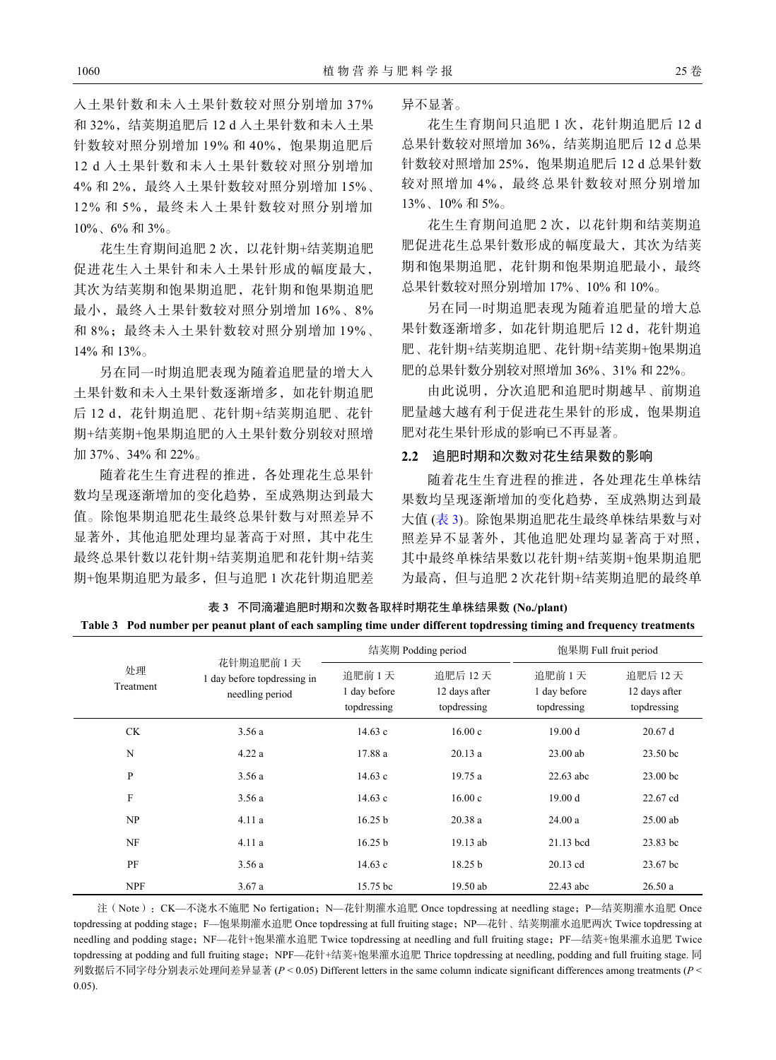入土果针数和未入土果针数较对照分别增加 37% 和 32%, 结荚期追肥后 12 d 入土果针数和未入土果 针数较对照分别增加 19% 和 40%, 饱果期追肥后 12 d 入土果针数和未入土果针数较对照分别增加 4% 和 2%,最终入土果针数较对照分别增加 15%、 12% 和 5%,最终未入土果针数较对照分别增加 10%、6% 和 3%。

花生生育期间追肥 2 次,以花针期+结荚期追肥 促进花生入土果针和未入土果针形成的幅度最大, 其次为结荚期和饱果期追肥,花针期和饱果期追肥 最小,最终入土果针数较对照分别增加 16%、8% 和 8%;最终未入土果针数较对照分别增加 19%、 14% 和 13%。

另在同一时期追肥表现为随着追肥量的增大入 土果针数和未入土果针数逐渐增多,如花针期追肥 后 12 d, 花针期追肥、花针期+结荚期追肥、花针 期+结荚期+饱果期追肥的入土果针数分别较对照增 加 37%、34% 和 22%。

随着花生生育进程的推进,各处理花生总果针 数均呈现逐渐增加的变化趋势,至成熟期达到最大 值。除饱果期追肥花生最终总果针数与对照差异不 显著外,其他追肥处理均显著高于对照,其中花生 最终总果针数以花针期+结荚期追肥和花针期+结荚 期+饱果期追肥为最多,但与追肥 1 次花针期追肥差 异不显著。

花生生育期间只追肥 1 次, 花针期追肥后 12 d 总果针数较对照增加 36%,结荚期追肥后 12 d 总果 针数较对照增加 25%, 饱果期追肥后 12 d 总果针数 较对照增加 4%,最终总果针数较对照分别增加 13%、10% 和 5%。

花生生育期间追肥 2 次,以花针期和结荚期追 肥促进花生总果针数形成的幅度最大,其次为结荚 期和饱果期追肥,花针期和饱果期追肥最小,最终 总果针数较对照分别增加 17%、10% 和 10%。

另在同一时期追肥表现为随着追肥量的增大总 果针数逐渐增多, 如花针期追肥后 12 d, 花针期追 肥、花针期+结荚期追肥、花针期+结荚期+饱果期追 肥的总果针数分别较对照增加 36%、31% 和 22%。

由此说明,分次追肥和追肥时期越早、前期追 肥量越大越有利于促进花生果针的形成,饱果期追 肥对花生果针形成的影响已不再显著。

#### **2.2** 追肥时期和次数对花生结果数的影响

随着花生生育进程的推进,各处理花生单株结 果数[均呈现](#page-4-0)逐渐增加的变化趋势,至成熟期达到最 大值 ([表](#page-4-0) [3](#page-4-0))。除饱果期追肥花生最终单株结果数与对 照差异不显著外,其他追肥处理均显著高于对照, 其中最终单株结果数以花针期+结荚期+饱果期追肥 为最高,但与追肥 2 次花针期+结荚期追肥的最终单

<span id="page-4-0"></span>表 **3** 不同滴灌追肥时期和次数各取样时期花生单株结果数 **(No./plant) Table 3 Pod number per peanut plant of each sampling time under different topdressing timing and frequency treatments**

|                 |                                                             |                                      | 结荚期 Podding period                       | 饱果期 Full fruit period                |                                          |  |
|-----------------|-------------------------------------------------------------|--------------------------------------|------------------------------------------|--------------------------------------|------------------------------------------|--|
| 处理<br>Treatment | 花针期追肥前1天<br>1 day before top dressing in<br>needling period | 追肥前1天<br>1 day before<br>topdressing | 追肥后 12 天<br>12 days after<br>topdressing | 追肥前1天<br>1 day before<br>topdressing | 追肥后 12 天<br>12 days after<br>topdressing |  |
| CK.             | 3.56a                                                       | 14.63 c                              | 16.00c                                   | 19.00 d                              | 20.67d                                   |  |
| N               | 4.22a                                                       | 17.88a                               | 20.13a                                   | $23.00$ ab                           | 23.50 <sub>bc</sub>                      |  |
| P               | 3.56a                                                       | 14.63c                               | 19.75a                                   | $22.63$ abc                          | $23.00$ bc                               |  |
| F               | 3.56a                                                       | 14.63c                               | 16.00c                                   | 19.00 d                              | 22.67 cd                                 |  |
| NP              | 4.11a                                                       | 16.25 b                              | 20.38a                                   | 24.00a                               | $25.00$ ab                               |  |
| NF              | 4.11a                                                       | 16.25 b                              | 19.13 ab                                 | $21.13$ bcd                          | 23.83 bc                                 |  |
| PF              | 3.56a                                                       | 14.63c                               | 18.25 <sub>b</sub>                       | 20.13 cd                             | 23.67 bc                                 |  |
| <b>NPF</b>      | 3.67a                                                       | 15.75 bc                             | 19.50 ab                                 | 22.43 abc                            | 26.50a                                   |  |

注(Note): CK—不浇水不施肥 No fertigation; N—花针期灌水追肥 Once topdressing at needling stage; P—结荚期灌水追肥 Once topdressing at podding stage; F—饱果期灌水追肥 Once topdressing at full fruiting stage; NP—花针、结荚期灌水追肥两次 Twice topdressing at needling and podding stage; NF—花针+饱果灌水追肥 Twice topdressing at needling and full fruiting stage; PF—结荚+饱果灌水追肥 Twice topdressing at podding and full fruiting stage; NPF—花针+结荚+饱果灌水追肥 Thrice topdressing at needling, podding and full fruiting stage. 同 列数据后不同字母分别表示处理间差异显著 (*P* < 0.05) Different letters in the same column indicate significant differences among treatments (*P* < 0.05).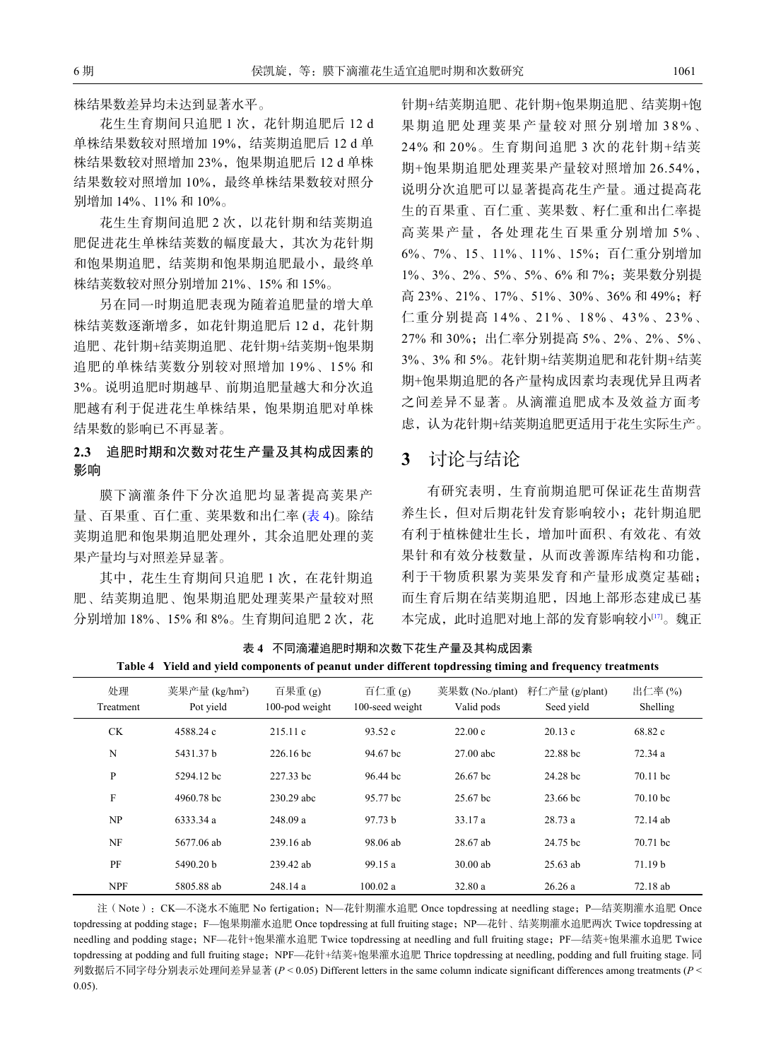株结果数差异均未达到显著水平。

花生生育期间只追肥 1 次, 花针期追肥后 12 d 单株结果数较对照增加 19%, 结荚期追肥后 12 d 单 株结果数较对照增加 23%,饱果期追肥后 12 d 单株 结果数较对照增加 10%,最终单株结果数较对照分 别增加 14%、11% 和 10%。

花生生育期间追肥 2 次,以花针期和结荚期追 肥促进花生单株结荚数的幅度最大,其次为花针期 和饱果期追肥,结荚期和饱果期追肥最小,最终单 株结荚数较对照分别增加 21%、15% 和 15%。

另在同一时期追肥表现为随着追肥量的增大单 株结荚数逐渐增多, 如花针期追肥后 12 d, 花针期 追肥、花针期+结荚期追肥、花针期+结荚期+饱果期 追肥的单株结荚数分别较对照增加 19%、15% 和 3%。说明追肥时期越早、前期追肥量越大和分次追 肥越有利于促进花生单株结果,饱果期追肥对单株 结果数的影响已不再显著。

## **2.3** 追肥时期和次数对花生产量及其构成因素的 影响

膜下滴灌条件下分次追肥均显著提高荚果产 量、百果重、百仁重、荚果数和出仁率 ([表](#page-5-0) [4](#page-5-0))。除结 荚期追肥和饱果期追肥处理外,其余追肥处理的荚 果产量均与对照差异显著。

其中,花生生育期间只追肥 1 次, 在花针期追 肥、结荚期追肥、饱果期追肥处理荚果产量较对照 分别增加 18%、15% 和 8%。生育期间追肥 2 次,花 针期+结荚期追肥、花针期+饱果期追肥、结荚期+饱 果期追肥处理荚果产量较对照分别增 加 38%、 24% 和 20%。生育期间追肥 3 次的花针期+结荚 期+饱果期追肥处理荚果产量较对照增加 26.54%, 说明分次追肥可以显著提高花生产量。通过提高花 生的百果重、百仁重、荚果数、籽仁重和出仁率提 高荚果产量,各处理花生百果重分别增加 5%、 6%、7%、15、11%、11%、15%;百仁重分别增加 1%、3%、2%、5%、5%、6% 和 7%;荚果数分别提 高 23%、21%、17%、51%、30%、36% 和 49%;籽 仁重分别提高 14%、21%、18%、43%、23%、 27% 和 30%;出仁率分别提高 5%、2%、2%、5%、 3%、3% 和 5%。花针期+结荚期追肥和花针期+结荚 期+饱果期追肥的各产量构成因素均表现优异且两者 之间差异不显著。从滴灌追肥成本及效益方面考 虑,认为花针期+结荚期追肥更适用于花生实际生产。

## **3** 讨论与结论

有研究表明,生育前期追肥可保证花生苗期营 养生长,但对后期花针发育影响较小;花针期追肥 有利于植株健壮生长,增加叶面积、有效花、有效 果针和有效分枝数量,从而改善源库结构和功能, 利于干物质积累为荚果发育和产量形成奠定基础; 而生育后期在结荚期追肥,因地上部形态[建](#page-7-3)成已基 本完成,此时追肥对地上部的发育影响较小[[17\]](#page-7-3)。魏正

<span id="page-5-0"></span>表 **4** 不同滴灌追肥时期和次数下花生产量及其构成因素 **Table 4 Yield and yield components of peanut under different topdressing timing and frequency treatments**

| 处理<br>Treatment | 荚果产量 (kg/hm <sup>2</sup> )<br>Pot yield | 百果重(g)<br>100-pod weight | 百仁重(g)<br>100-seed weight | 荚果数 (No./plant)<br>Valid pods | 籽仁产量 (g/plant)<br>Seed yield | 出仁率(%)<br>Shelling  |
|-----------------|-----------------------------------------|--------------------------|---------------------------|-------------------------------|------------------------------|---------------------|
| <b>CK</b>       | 4588.24 c                               | 215.11c                  | 93.52c                    | 22.00c                        | 20.13c                       | 68.82 c             |
| N               | 5431.37 b                               | 226.16 bc                | 94.67 bc                  | $27.00$ abc                   | 22.88 bc                     | 72.34 a             |
| P               | 5294.12 bc                              | 227.33 bc                | 96.44 bc                  | 26.67 <sub>bc</sub>           | 24.28 bc                     | 70.11 bc            |
| F               | 4960.78 bc                              | 230.29 abc               | 95.77 bc                  | 25.67 bc                      | 23.66 bc                     | 70.10 <sub>bc</sub> |
| NP              | 6333.34 a                               | 248.09 a                 | 97.73 b                   | 33.17 a                       | 28.73a                       | 72.14 ab            |
| NF              | 5677.06 ab                              | 239.16 ab                | 98.06 ab                  | 28.67 ab                      | 24.75 bc                     | 70.71 bc            |
| PF              | 5490.20 $h$                             | 239.42 ab                | 99.15a                    | $30.00$ ab                    | $25.63$ ab                   | 71.19 <sub>b</sub>  |
| <b>NPF</b>      | 5805.88 ab                              | 248.14 a                 | 100.02 a                  | 32.80a                        | 26.26a                       | 72.18 ab            |

注(Note): CK—不浇水不施肥 No fertigation; N—花针期灌水追肥 Once topdressing at needling stage; P—结荚期灌水追肥 Once topdressing at podding stage; F—饱果期灌水追肥 Once topdressing at full fruiting stage; NP—花针、结荚期灌水追肥两次 Twice topdressing at needling and podding stage; NF—花针+饱果灌水追肥 Twice topdressing at needling and full fruiting stage; PF—结荚+饱果灌水追肥 Twice topdressing at podding and full fruiting stage; NPF—花针+结荚+饱果灌水追肥 Thrice topdressing at needling, podding and full fruiting stage. 同 列数据后不同字母分别表示处理间差异显著 (*P* < 0.05) Different letters in the same column indicate significant differences among treatments (*P* < 0.05).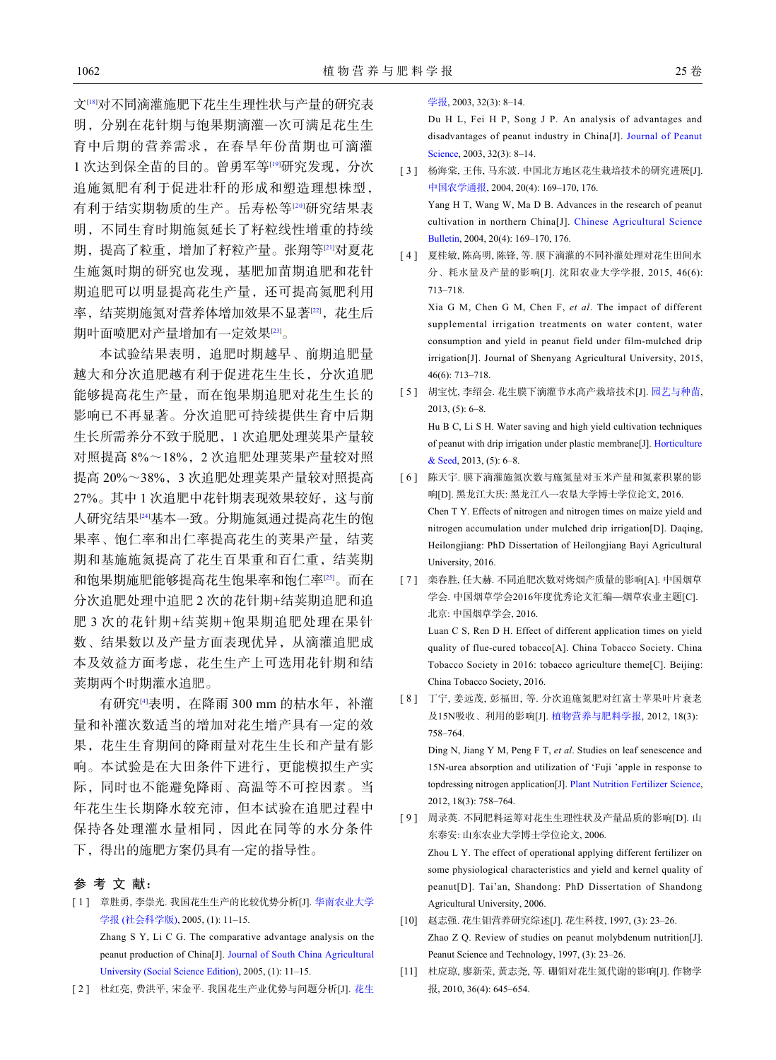文[\[18](#page-7-4)]对不同滴灌施肥下花生生理性状与产量的研究表 明,分别在花针期与饱果期滴灌一次可满足花生生 育中后期的营养需求,在春旱年份苗期也可滴灌 1 次达到保全苗的目的。曾勇军等[[19\]](#page-7-5)研究发现,分次 追施氮肥有利于促进壮秆的形成和塑造理想株型, 有利于结实期物质的生产。岳寿松等[[20](#page-7-6)]研究结果表 明,不同生育时期施氮延长了籽粒线性增重的持续 期,提高了粒重,增加了籽粒产量。张翔等[\[21](#page-7-7)]对夏花 生施氮时期的研究也发现,基肥加苗期追肥和花针 期追肥可以明显提高花生产量,还可提高氮肥利用 率,结荚期施氮对营养体增加效果不显著[\[22](#page-7-8)],花生后 期叶面喷肥对产量增加有一定效果[[23\]](#page-7-9)。

本试验结果表明,追肥时期越早、前期追肥量 越大和分次追肥越有利于促进花生生长,分次追肥 能够提高花生产量,而在饱果期追肥对花生生长的 影响已不再显著。分次追肥可持续提供生育中后期 生长所需养分不致于脱肥,1 次追肥处理荚果产量较 对照提高 8%~18%,2 次追肥处理荚果产量较对照 提高 20%~38%,3 次追肥处理荚果产量较对照提高 27%。其中 1 次追肥中花针期表现效果较好, 这与前 人研究结果[[24\]](#page-7-10)基本一致。分期施氮通过提高花生的饱 果率、饱仁率和出仁率提高花生的荚果产量,结荚 期和基施施氮提高了花生百果重和百仁重,结荚期 和饱果期施肥能够提高花生饱果率和饱仁率[\[25](#page-7-11)]。而在 分次追肥处理中追肥 2 次的花针期+结荚期追肥和追 肥 3 次的花针期+结荚期+饱果期追肥处理在果针 数、结果数以及产量方面表现优异,从滴灌追肥成 本及效益方面考虑,花生生产上可选用花针期和结 荚期两个时期灌水追肥。

有研究[\[4](#page-6-3)]表明, 在降雨 300 mm 的枯水年, 补灌 量和补灌次数适当的增加对花生增产具有一定的效 果,花生生育期间的降雨量对花生生长和产量有影 响。本试验是在大田条件下进行,更能模拟生产实 际,同时也不能避免降雨、高温等不可控因素。当 年花生生长期降水较充沛,但本试验在追肥过程中 保持各处理灌水量相同,因此在同等的水分条件 下,得出的施肥方案仍具有一定的指导性。

#### 参 考 文 献:

- [ 1 ] [章胜勇](http://dx.doi.org/10.3969/j.issn.1672-0202.2005.01.003), [李崇光](http://dx.doi.org/10.3969/j.issn.1672-0202.2005.01.003). [我](http://dx.doi.org/10.3969/j.issn.1672-0202.2005.01.003)国花生生产的比较优势分析[J]. [华南农业大学](http://dx.doi.org/10.3969/j.issn.1672-0202.2005.01.003) [学报](http://dx.doi.org/10.3969/j.issn.1672-0202.2005.01.003) [\(](http://dx.doi.org/10.3969/j.issn.1672-0202.2005.01.003)[社会科学版](http://dx.doi.org/10.3969/j.issn.1672-0202.2005.01.003)[\)](http://dx.doi.org/10.3969/j.issn.1672-0202.2005.01.003), 2005, (1): 11–15. Zhang S Y, Li C G. The com[parative advantage analysis on the](http://dx.doi.org/10.3969/j.issn.1672-0202.2005.01.003) [peanut production of China\[J\].](http://dx.doi.org/10.3969/j.issn.1672-0202.2005.01.003) [Journal of South China Agricultural](http://dx.doi.org/10.3969/j.issn.1672-0202.2005.01.003) [University \(Social Science Edition\)](http://dx.doi.org/10.3969/j.issn.1672-0202.2005.01.003), 2005, (1): 11–15.
- [2] 杜红亮, 费洪平, 宋金平. 我国[花生](http://dx.doi.org/10.3969/j.issn.1002-4093.2003.03.002)产业优势与问题分析[J]. 花生

[学报](http://dx.doi.org/10.3969/j.issn.1002-4093.2003.03.002), 2003, 32(3): 8–14.

<span id="page-6-2"></span>Du H L, Fei H P, Song J P. An analysis of advantages and disadvantages of peanut industry in China[J]. [Journal of Peanut](http://dx.doi.org/10.3969/j.issn.1002-4093.2003.03.002) [Science,](http://dx.doi.org/10.3969/j.issn.1002-4093.2003.03.002) 2003, 32(3): 8–14.

- [ 3 ] 杨海棠, 王伟, 马东波. 中国北方地区花生栽培技术的研究进展[J]. [中国农学通报](http://dx.doi.org/10.3969/j.issn.1000-6850.2004.03.057), 2004, 20(4): 169–170, 176. Yang H T, Wang W, Ma D B. Advances in the research of peanut cultivation in northern China[J]. [Chinese Agricultural Science](http://dx.doi.org/10.3969/j.issn.1000-6850.2004.03.057) [Bulletin](http://dx.doi.org/10.3969/j.issn.1000-6850.2004.03.057), 2004, 20(4): 169–170, 176.
- [ 4 ] 夏桂敏, 陈高明, 陈锋, 等. 膜下滴灌的不同补灌处理对花生田间水 分、耗水量及产量的影响[J]. 沈阳农业大学学报, 2015, 46(6): 713–718.

<span id="page-6-4"></span><span id="page-6-3"></span>Xia G M, Chen G M, Chen F, *et al*. The impact of different supplemental irrigation treatments on water content, water consumption and yield in peanut field under film-mulched drip irrigation[J]. Journal of Shenyang Agricultural University, 2015, 46(6): 713–718.

- [ 5 ] 胡宝忱, 李绍会. 花生膜下滴灌节水高产栽培技术[J]. [园艺与种苗](http://dx.doi.org/10.3969/j.issn.2095-0896.2013.05.003), 2013, (5): 6–8. Hu B C, Li S H. Water saving and high yield cultivation techniques of peanut with drip irrigation under plastic membrane[J]. [Horticulture](http://dx.doi.org/10.3969/j.issn.2095-0896.2013.05.003) [& Seed,](http://dx.doi.org/10.3969/j.issn.2095-0896.2013.05.003) 2013, (5): 6–8.
- <span id="page-6-5"></span>[ 6 ] 陈天宇. 膜下滴灌施氮次数与施氮量对玉米产量和氮素积累的影 响[D]. 黑龙江大庆: 黑龙江八一农垦大学博士学位论文, 2016. Chen T Y. Effects of nitrogen and nitrogen times on maize yield and nitrogen accumulation under mulched drip irrigation[D]. Daqing, Heilongjiang: PhD Dissertation of Heilongjiang Bayi Agricultural University, 2016.
- [ 7 ] 栾春胜, 任大赫. 不同追肥次数对烤烟产质量的影响[A]. 中国烟草 学会. 中国烟草学会2016年度优秀论文汇编—烟草农业主题[C]. 北京: 中国烟草学会, 2016.

<span id="page-6-6"></span>Luan C S, Ren D H. Effect of different application times on yield quality of flue-cured tobacco[A]. China Tobacco Society. China Tobacco Society in 2016: tobacco agriculture theme[C]. Beijing: China Tobacco Society, 2016.

[8] 丁宁, 姜远茂, 彭福田, 等. 分次追施氮肥对红富士苹果叶片衰老 及15N吸收、利用的影响[J]. [植物营养与肥料学报](http://dx.doi.org/10.11674/zwyf.2012.11243), 2012, 18(3): 758–764.

<span id="page-6-8"></span><span id="page-6-7"></span>Ding N, Jiang Y M, Peng F T, *et al*. Studies on leaf senescence and 15N-urea absorption and utilization of 'Fuji 'apple in response to topdressing nitrogen application[J]. [Plant Nutrition Fertilizer Science,](http://dx.doi.org/10.11674/zwyf.2012.11243) 2012, 18(3): 758–764.

- [ 9 ] 周录英. 不同肥料运筹对花生生理性状及产量品质的影响[D]. 山 东泰安: 山东农业大学博士学位论文, 2006. Zhou L Y. The effect of operational applying different fertilizer on some physiological characteristics and yield and kernel quality of peanut[D]. Tai'an, Shandong: PhD Dissertation of Shandong Agricultural University, 2006.
- <span id="page-6-9"></span><span id="page-6-0"></span>赵志强. 花生钼营养研究综述[J]. 花生科技, 1997, (3): 23–26. [10] Zhao Z Q. Review of studies on peanut molybdenum nutrition[J]. Peanut Science and Technology, 1997, (3): 23–26.
- <span id="page-6-1"></span>[11] 杜应琼, 廖新荣, 黄志尧, 等. 硼钼对花生氮代谢的影响[J]. 作物学 报, 2010, 36(4): 645–654.